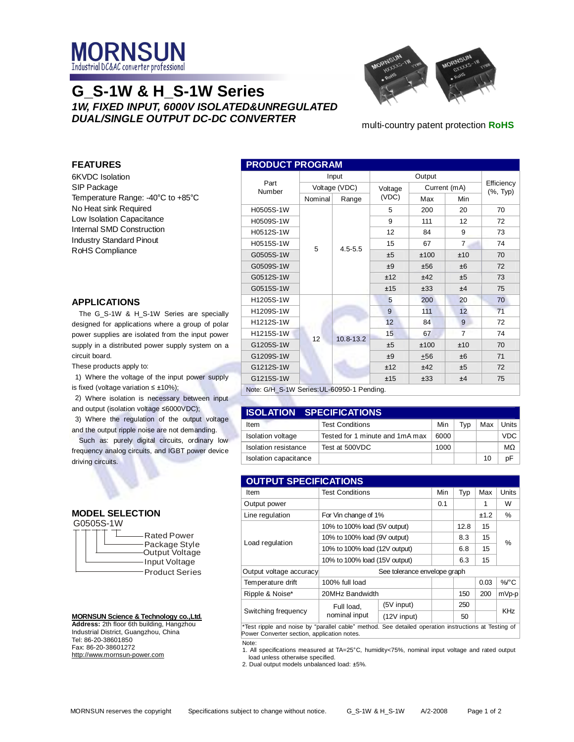

# **G\_S-1W & H\_S-1W Series** *1W, FIXED INPUT, 6000V ISOLATED&UNREGULATED DUAL/SINGLE OUTPUT DC-DC CONVERTER*



multi-country patent protection **RoHS**

## **FEATURES**

6KVDC Isolation SIP Package Temperature Range: -40°C to +85°C No Heat sink Required Low Isolation Capacitance Internal SMD Construction Industry Standard Pinout RoHS Compliance

## **APPLICATIONS**

The G\_S-1W & H\_S-1W Series are specially designed for applications where a group of polar power supplies are isolated from the input power supply in a distributed power supply system on a circuit board.

These products apply to:

1) Where the voltage of the input power supply is fixed (voltage variation  $\leq \pm 10\%$ );

2) Where isolation is necessary between input and output (isolation voltage ≤6000VDC);

3) Where the regulation of the output voltage and the output ripple noise are not demanding.

Such as: purely digital circuits, ordinary low frequency analog circuits, and IGBT power device driving circuits.

## **MODEL SELECTION**

G0505S-1W

| <b>Rated Power</b><br>Package Style<br>Output Voltage<br>Input Voltage<br><b>Product Series</b> |
|-------------------------------------------------------------------------------------------------|
|-------------------------------------------------------------------------------------------------|

#### **MORNSUN Science & Technology co.,Ltd. Address:** 2th floor 6th building, Hangzhou Industrial District, Guangzhou, China Tel: 86-20-38601850 Fax: 86-20-38601272 <http://www.mornsun-power.com>

| <b>PRODUCT PROGRAM</b> |               |             |         |              |                |                        |  |
|------------------------|---------------|-------------|---------|--------------|----------------|------------------------|--|
|                        | Input         |             | Output  |              |                |                        |  |
| Part<br>Number         | Voltage (VDC) |             | Voltage | Current (mA) |                | Efficiency<br>(%, Typ) |  |
|                        | Nominal       | Range       | (VDC)   | Max          | Min            |                        |  |
| H0505S-1W              |               | $4.5 - 5.5$ | 5       | 200          | 20             | 70                     |  |
| H0509S-1W              |               |             | 9       | 111          | 12             | 72                     |  |
| H0512S-1W              |               |             | 12      | 84           | 9              | 73                     |  |
| H0515S-1W              | 5             |             | 15      | 67           | $\overline{7}$ | 74                     |  |
| G0505S-1W              |               |             | ±5      | ±100         | ±10            | 70                     |  |
| G0509S-1W              |               |             | ±9      | ±56          | ±6             | 72                     |  |
| G0512S-1W              |               |             | ±12     | ±42          | ±5             | 73                     |  |
| G0515S-1W              |               |             | ±15     | ±33          | ±4             | 75                     |  |
| H1205S-1W              |               |             | 5       | 200          | 20             | 70                     |  |
| H1209S-1W              |               | 10.8-13.2   | 9       | 111          | 12             | 71                     |  |
| H1212S-1W              |               |             | 12      | 84           | 9              | 72                     |  |
| H1215S-1W              | 12            |             | 15      | 67           | $\overline{7}$ | 74                     |  |
| G1205S-1W              |               |             | ±5      | ±100         | ±10            | 70                     |  |
| G1209S-1W              |               |             | ±9      | $+56$        | ±6             | 71                     |  |
| G1212S-1W              |               |             | ±12     | ±42          | ±5             | 72                     |  |
| G1215S-1W              |               |             | ±15     | ±33          | ±4             | 75                     |  |

Note: G/H\_S-1W Series:UL-60950-1 Pending.

| <b>ISOLATION SPECIFICATIONS</b> |                                 |      |     |     |       |  |  |
|---------------------------------|---------------------------------|------|-----|-----|-------|--|--|
| Item                            | <b>Test Conditions</b>          | Min  | Tvp | Max | Units |  |  |
| <b>Isolation voltage</b>        | Tested for 1 minute and 1mA max | 6000 |     |     | VDC.  |  |  |
| Isolation resistance            | Test at 500VDC                  | 1000 |     |     | MΩ    |  |  |
| Isolation capacitance           |                                 |      |     | 10  | DF    |  |  |

| <b>OUTPUT SPECIFICATIONS</b>                                                                         |                               |               |     |      |       |            |  |
|------------------------------------------------------------------------------------------------------|-------------------------------|---------------|-----|------|-------|------------|--|
| Item                                                                                                 | <b>Test Conditions</b>        | Min           | Typ | Max  | Units |            |  |
| Output power                                                                                         |                               |               | 0.1 |      | 1     | W          |  |
| Line regulation                                                                                      | For Vin change of 1%          |               |     |      | ±1.2  | %          |  |
|                                                                                                      | 10% to 100% load (5V output)  |               |     | 12.8 | 15    |            |  |
|                                                                                                      | 10% to 100% load (9V output)  |               |     | 8.3  | 15    | %          |  |
| Load regulation                                                                                      | 10% to 100% load (12V output) |               | 6.8 | 15   |       |            |  |
|                                                                                                      | 10% to 100% load (15V output) |               | 6.3 | 15   |       |            |  |
| Output voltage accuracy                                                                              | See tolerance envelope graph  |               |     |      |       |            |  |
| Temperature drift                                                                                    | 100% full load                |               |     |      | 0.03  | %/°C       |  |
| Ripple & Noise*                                                                                      | 20MHz Bandwidth               |               | 150 | 200  | mVp-p |            |  |
|                                                                                                      | Full load,<br>nominal input   | (5V input)    |     | 250  |       | <b>KHz</b> |  |
| Switching frequency                                                                                  |                               | $(12V$ input) |     | 50   |       |            |  |
| *Test ripple and noise by "parallel cable" method. See detailed operation instructions at Testing of |                               |               |     |      |       |            |  |

Power Converter section, application notes. Note:

1. All specifications measured at TA=25°C, humidity<75%, nominal input voltage and rated output

load unless otherwise specified.

2. Dual output models unbalanced load: ±5%.